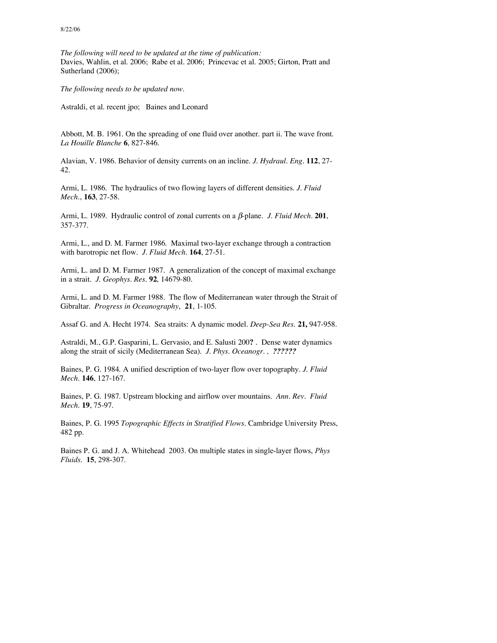*The following will need to be updated at the time of publication:* Davies, Wahlin, et al. 2006; Rabe et al. 2006; Princevac et al. 2005; Girton, Pratt and Sutherland (2006);

*The following needs to be updated now.*

Astraldi, et al. recent jpo; Baines and Leonard

Abbott, M. B. 1961. On the spreading of one fluid over another. part ii. The wave front. *La Houille Blanche* **6**, 827-846.

Alavian, V. 1986. Behavior of density currents on an incline. *J. Hydraul. Eng.* **112**, 27- 42.

Armi, L. 1986. The hydraulics of two flowing layers of different densities. *J. Fluid Mech.*, **163**, 27-58.

Armi, L. 1989. Hydraulic control of zonal currents on a β-plane. *J. Fluid Mech.* **201**, 357-377.

Armi, L., and D. M. Farmer 1986. Maximal two-layer exchange through a contraction with barotropic net flow. *J. Fluid Mech*. **164**, 27-51.

Armi, L. and D. M. Farmer 1987. A generalization of the concept of maximal exchange in a strait. *J. Geophys. Res.* **92**, 14679-80.

Armi, L. and D. M. Farmer 1988. The flow of Mediterranean water through the Strait of Gibraltar. *Progress in Oceanography*, **21**, 1-105.

Assaf G. and A. Hecht 1974. Sea straits: A dynamic model. *Deep-Sea Res.* **21,** 947-958.

Astraldi, M., G.P. Gasparini, L. Gervasio, and E. Salusti 200**?** . Dense water dynamics along the strait of sicily (Mediterranean Sea). *J. Phys. Oceanogr. , ??????*

Baines, P. G. 1984. A unified description of two-layer flow over topography. *J. Fluid Mech*. **146**, 127-167.

Baines, P. G. 1987. Upstream blocking and airflow over mountains. *Ann. Rev. Fluid Mech*. **19**, 75-97.

Baines, P. G. 1995 *Topographic Effects in Stratified Flows*. Cambridge University Press, 482 pp.

Baines P. G. and J. A. Whitehead 2003. On multiple states in single-layer flows, *Phys Fluids*. **15**, 298-307.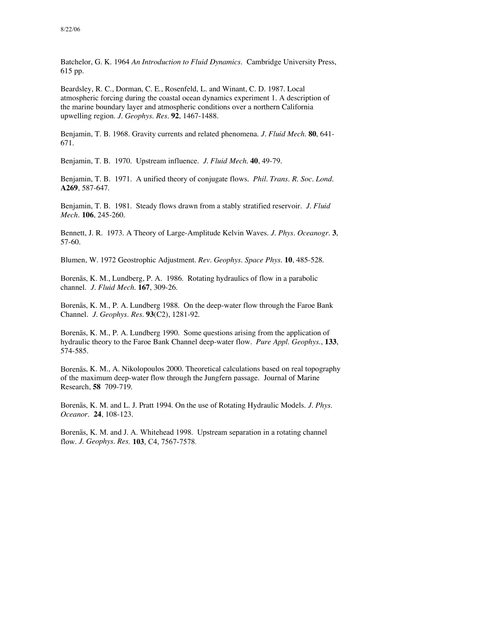Batchelor, G. K. 1964 *An Introduction to Fluid Dynamics.* Cambridge University Press, 615 pp.

Beardsley, R. C., Dorman, C. E., Rosenfeld, L. and Winant, C. D. 1987. Local atmospheric forcing during the coastal ocean dynamics experiment 1. A description of the marine boundary layer and atmospheric conditions over a northern California upwelling region. *J. Geophys. Res.* **92**, 1467-1488.

Benjamin, T. B. 1968. Gravity currents and related phenomena. *J. Fluid Mech.* **80**, 641- 671.

Benjamin, T. B. 1970. Upstream influence. *J. Fluid Mech*. **40**, 49-79.

Benjamin, T. B. 1971. A unified theory of conjugate flows. *Phil. Trans. R. Soc. Lond*. **A269**, 587-647.

Benjamin, T. B. 1981. Steady flows drawn from a stably stratified reservoir. *J. Fluid Mech*. **106**, 245-260.

Bennett, J. R. 1973. A Theory of Large-Amplitude Kelvin Waves. *J. Phys. Oceanogr.* **3**, 57-60.

Blumen, W. 1972 Geostrophic Adjustment. *Rev. Geophys. Space Phys.* **10**, 485-528.

Borenäs, K. M., Lundberg, P. A. 1986. Rotating hydraulics of flow in a parabolic channel*. J. Fluid Mech*. **167**, 309-26.

Borenäs, K. M., P. A. Lundberg 1988. On the deep-water flow through the Faroe Bank Channel*. J. Geophys. Res*. **93**(C2), 1281-92.

Borenäs, K. M., P. A. Lundberg 1990. Some questions arising from the application of hydraulic theory to the Faroe Bank Channel deep-water flow. *Pure Appl. Geophys*., **133**, 574-585.

Borenäs, K. M., A. Nikolopoulos 2000. Theoretical calculations based on real topography of the maximum deep-water flow through the Jungfern passage. Journal of Marine Research, **58** 709-719.

Borenäs, K. M. and L. J. Pratt 1994. On the use of Rotating Hydraulic Models. *J. Phys. Oceanor.* **24**, 108-123.

Borenäs, K. M. and J. A. Whitehead 1998. Upstream separation in a rotating channel flow. *J. Geophys. Res.* **103**, C4, 7567-7578.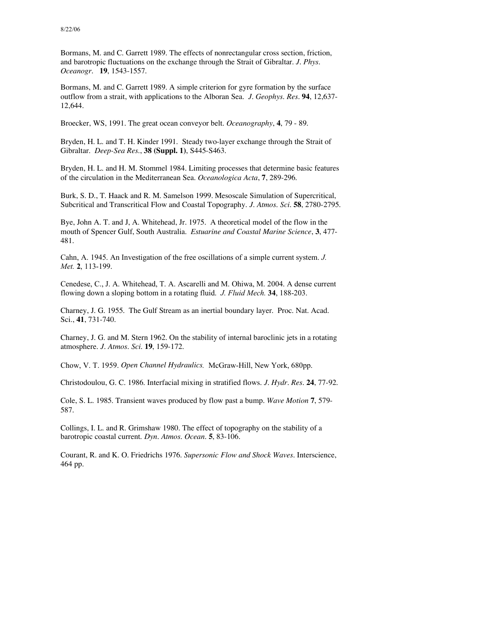Bormans, M. and C. Garrett 1989. The effects of nonrectangular cross section, friction, and barotropic fluctuations on the exchange through the Strait of Gibraltar. *J. Phys. Oceanogr.* **19**, 1543-1557.

Bormans, M. and C. Garrett 1989. A simple criterion for gyre formation by the surface outflow from a strait, with applications to the Alboran Sea. *J. Geophys. Res.* **94**, 12,637- 12,644.

Broecker, WS, 1991. The great ocean conveyor belt. *Oceanography*, **4**, 79 - 89.

Bryden, H. L. and T. H. Kinder 1991. Steady two-layer exchange through the Strait of Gibraltar. *Deep-Sea Res.*, **38 (Suppl. 1)**, S445-S463.

Bryden, H. L. and H. M. Stommel 1984. Limiting processes that determine basic features of the circulation in the Mediterranean Sea. *Oceanologica Acta*, **7**, 289-296.

Burk, S. D., T. Haack and R. M. Samelson 1999. Mesoscale Simulation of Supercritical, Subcritical and Transcritical Flow and Coastal Topography. *J. Atmos. Sci.* **58**, 2780-2795.

Bye, John A. T. and J, A. Whitehead, Jr. 1975. A theoretical model of the flow in the mouth of Spencer Gulf, South Australia. *Estuarine and Coastal Marine Science*, **3**, 477- 481.

Cahn, A. 1945. An Investigation of the free oscillations of a simple current system. *J. Met.* **2**, 113-199.

Cenedese, C., J. A. Whitehead, T. A. Ascarelli and M. Ohiwa, M. 2004. A dense current flowing down a sloping bottom in a rotating fluid. *J. Fluid Mech.* **34**, 188-203.

Charney, J. G. 1955. The Gulf Stream as an inertial boundary layer. Proc. Nat. Acad. Sci., **41**, 731-740.

Charney, J. G. and M. Stern 1962. On the stability of internal baroclinic jets in a rotating atmosphere. *J. Atmos. Sci.* **19**, 159-172.

Chow, V. T. 1959. *Open Channel Hydraulics.* McGraw-Hill, New York, 680pp.

Christodoulou, G. C. 1986. Interfacial mixing in stratified flows. *J. Hydr. Res.* **24**, 77-92.

Cole, S. L. 1985. Transient waves produced by flow past a bump. *Wave Motion* **7**, 579- 587.

Collings, I. L. and R. Grimshaw 1980. The effect of topography on the stability of a barotropic coastal current. *Dyn. Atmos. Ocean.* **5**, 83-106.

Courant, R. and K. O. Friedrichs 1976. *Supersonic Flow and Shock Waves.* Interscience, 464 pp.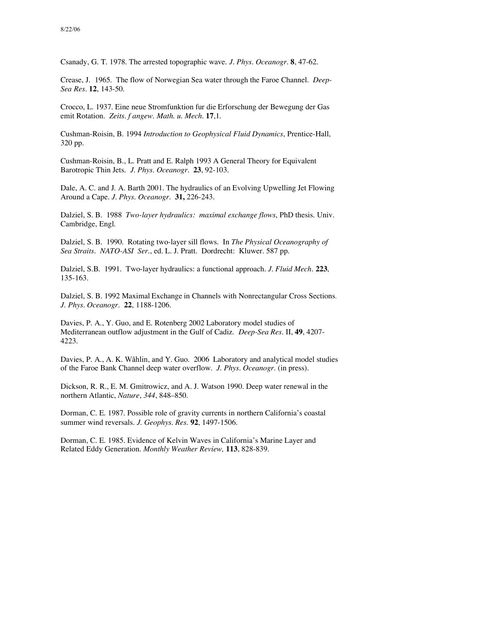Csanady, G. T. 1978. The arrested topographic wave. *J. Phys. Oceanogr.* **8**, 47-62.

Crease, J. 1965. The flow of Norwegian Sea water through the Faroe Channel. *Deep-Sea Res*. **12**, 143-50.

Crocco, L. 1937. Eine neue Stromfunktion fur die Erforschung der Bewegung der Gas emit Rotation. *Zeits. f angew. Math. u. Mech*. **17**,1.

Cushman-Roisin, B. 1994 *Introduction to Geophysical Fluid Dynamics*, Prentice-Hall, 320 pp.

Cushman-Roisin, B., L. Pratt and E. Ralph 1993 A General Theory for Equivalent Barotropic Thin Jets. *J. Phys. Oceanogr.* **23**, 92-103.

Dale, A. C. and J. A. Barth 2001. The hydraulics of an Evolving Upwelling Jet Flowing Around a Cape. *J. Phys. Oceanogr.* **31,** 226-243.

Dalziel, S. B. 1988 *Two-layer hydraulics: maximal exchange flows*, PhD thesis. Univ. Cambridge, Engl.

Dalziel, S. B. 1990. Rotating two-layer sill flows. In *The Physical Oceanography of Sea Straits. NATO-ASI Ser*., ed. L. J. Pratt. Dordrecht: Kluwer. 587 pp.

Dalziel, S.B. 1991. Two-layer hydraulics: a functional approach. *J. Fluid Mech.* **223**, 135-163.

Dalziel, S. B. 1992 Maximal Exchange in Channels with Nonrectangular Cross Sections. *J. Phys. Oceanogr.* **22**, 1188-1206.

Davies, P. A., Y. Guo, and E. Rotenberg 2002 Laboratory model studies of Mediterranean outflow adjustment in the Gulf of Cadiz. *Deep-Sea Res.* II, **49**, 4207- 4223.

Davies, P. A., A. K. Wåhlin, and Y. Guo. 2006 Laboratory and analytical model studies of the Faroe Bank Channel deep water overflow. *J. Phys. Oceanogr.* (in press)*.*

Dickson, R. R., E. M. Gmitrowicz, and A. J. Watson 1990. Deep water renewal in the northern Atlantic, *Nature*, *344*, 848–850.

Dorman, C. E. 1987. Possible role of gravity currents in northern California's coastal summer wind reversals. *J. Geophys. Res.* **92**, 1497-1506.

Dorman, C. E. 1985. Evidence of Kelvin Waves in California's Marine Layer and Related Eddy Generation. *Monthly Weather Review,* **113**, 828-839.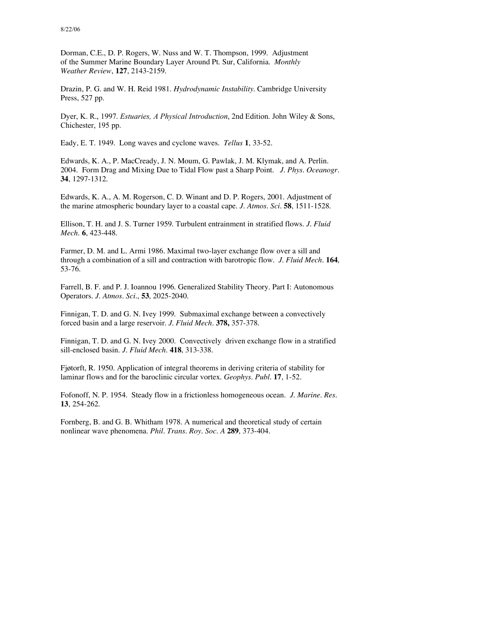Dorman, C.E., D. P. Rogers, W. Nuss and W. T. Thompson, 1999. Adjustment of the Summer Marine Boundary Layer Around Pt. Sur, California. *Monthly Weather Review*, **127**, 2143-2159.

Drazin, P. G. and W. H. Reid 1981. *Hydrodynamic Instability*. Cambridge University Press, 527 pp.

Dyer, K. R., 1997. *Estuaries, A Physical Introduction*, 2nd Edition. John Wiley & Sons, Chichester, 195 pp.

Eady, E. T. 1949. Long waves and cyclone waves. *Tellus* **1**, 33-52.

Edwards, K. A., P. MacCready, J. N. Moum, G. Pawlak, J. M. Klymak, and A. Perlin. 2004. Form Drag and Mixing Due to Tidal Flow past a Sharp Point. *J. Phys. Oceanogr.* **34**, 1297-1312.

Edwards, K. A., A. M. Rogerson, C. D. Winant and D. P. Rogers, 2001. Adjustment of the marine atmospheric boundary layer to a coastal cape. *J. Atmos. Sci.* **58**, 1511-1528.

Ellison, T. H. and J. S. Turner 1959. Turbulent entrainment in stratified flows. *J. Fluid Mech.* **6**, 423-448.

Farmer, D. M. and L. Armi 1986. Maximal two-layer exchange flow over a sill and through a combination of a sill and contraction with barotropic flow. *J. Fluid Mech.* **164**, 53-76.

Farrell, B. F. and P. J. Ioannou 1996. Generalized Stability Theory. Part I: Autonomous Operators. *J. Atmos. Sci.*, **53**, 2025-2040.

Finnigan, T. D. and G. N. Ivey 1999. Submaximal exchange between a convectively forced basin and a large reservoir. *J. Fluid Mech*. **378,** 357-378.

Finnigan, T. D. and G. N. Ivey 2000. Convectively driven exchange flow in a stratified sill-enclosed basin. *J. Fluid Mech*. **418**, 313-338.

Fjøtorft, R. 1950. Application of integral theorems in deriving criteria of stability for laminar flows and for the baroclinic circular vortex. *Geophys. Publ.* **17**, 1-52.

Fofonoff, N. P. 1954. Steady flow in a frictionless homogeneous ocean. *J. Marine. Res.* **13**, 254-262.

Fornberg, B. and G. B. Whitham 1978. A numerical and theoretical study of certain nonlinear wave phenomena. *Phil. Trans. Roy. Soc. A* **289**, 373-404.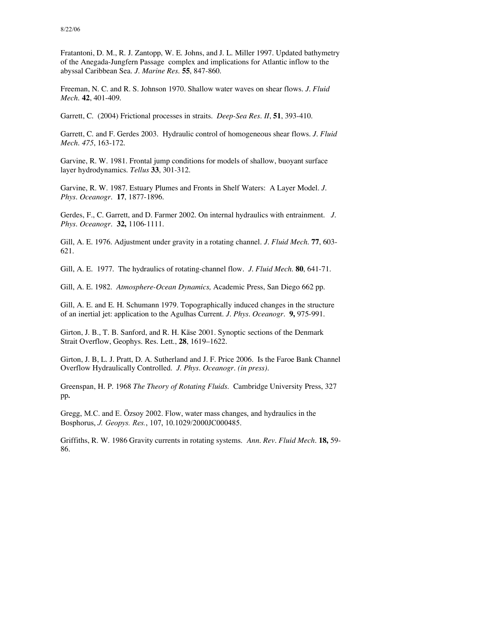Fratantoni, D. M., R. J. Zantopp, W. E. Johns, and J. L. Miller 1997. Updated bathymetry of the Anegada-Jungfern Passage complex and implications for Atlantic inflow to the abyssal Caribbean Sea. *J. Marine Res*. **55**, 847-860.

Freeman, N. C. and R. S. Johnson 1970. Shallow water waves on shear flows. *J. Fluid Mech.* **42**, 401-409.

Garrett, C. (2004) Frictional processes in straits. *Deep-Sea Res. II*, **51**, 393-410.

Garrett, C. and F. Gerdes 2003. Hydraulic control of homogeneous shear flows. *J. Fluid Mech. 475*, 163-172.

Garvine, R. W. 1981. Frontal jump conditions for models of shallow, buoyant surface layer hydrodynamics. *Tellus* **33**, 301-312.

Garvine, R. W. 1987. Estuary Plumes and Fronts in Shelf Waters: A Layer Model. *J. Phys. Oceanogr.* **17**, 1877-1896.

Gerdes, F., C. Garrett, and D. Farmer 2002. On internal hydraulics with entrainment. *J. Phys. Oceanogr.* **32,** 1106-1111.

Gill, A. E. 1976. Adjustment under gravity in a rotating channel. *J. Fluid Mech.* **77**, 603- 621.

Gill, A. E. 1977. The hydraulics of rotating-channel flow*. J. Fluid Mech*. **80**, 641-71.

Gill, A. E. 1982. *Atmosphere-Ocean Dynamics,* Academic Press, San Diego 662 pp.

Gill, A. E. and E. H. Schumann 1979. Topographically induced changes in the structure of an inertial jet: application to the Agulhas Current. *J. Phys. Oceanogr.* **9,** 975-991.

Girton, J. B., T. B. Sanford, and R. H. Käse 2001. Synoptic sections of the Denmark Strait Overflow, Geophys. Res. Lett., **28**, 1619–1622.

Girton, J. B, L. J. Pratt, D. A. Sutherland and J. F. Price 2006. Is the Faroe Bank Channel Overflow Hydraulically Controlled. *J. Phys. Oceanogr. (in press).*

Greenspan, H. P. 1968 *The Theory of Rotating Fluids*. Cambridge University Press, 327 pp*.*

Gregg, M.C. and E. Özsoy 2002. Flow, water mass changes, and hydraulics in the Bosphorus, *J. Geopys. Res.*, 107, 10.1029/2000JC000485.

Griffiths, R. W. 1986 Gravity currents in rotating systems. *Ann. Rev. Fluid Mech.* **18,** 59- 86.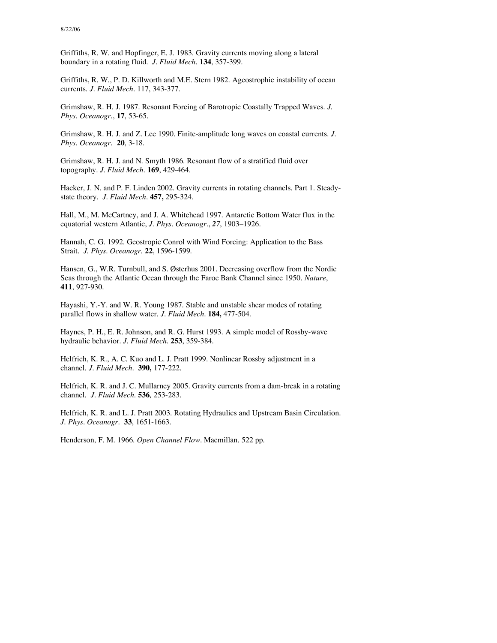Griffiths, R. W. and Hopfinger, E. J. 1983. Gravity currents moving along a lateral boundary in a rotating fluid. *J. Fluid Mech.* **134**, 357-399.

Griffiths, R. W., P. D. Killworth and M.E. Stern 1982. Ageostrophic instability of ocean currents. *J. Fluid Mech.* 117, 343-377.

Grimshaw, R. H. J. 1987. Resonant Forcing of Barotropic Coastally Trapped Waves. *J. Phys. Oceanogr.*, **17**, 53-65.

Grimshaw, R. H. J. and Z. Lee 1990. Finite-amplitude long waves on coastal currents. *J. Phys. Oceanogr.* **20**, 3-18.

Grimshaw, R. H. J. and N. Smyth 1986. Resonant flow of a stratified fluid over topography. *J. Fluid Mech.* **169**, 429-464.

Hacker, J. N. and P. F. Linden 2002. Gravity currents in rotating channels. Part 1. Steadystate theory. *J. Fluid Mech.* **457,** 295-324.

Hall, M., M. McCartney, and J. A. Whitehead 1997. Antarctic Bottom Water flux in the equatorial western Atlantic, *J. Phys. Oceanogr*., *27*, 1903–1926.

Hannah, C. G. 1992. Geostropic Conrol with Wind Forcing: Application to the Bass Strait. *J. Phys. Oceanogr*. **22**, 1596-1599.

Hansen, G., W.R. Turnbull, and S. Østerhus 2001. Decreasing overflow from the Nordic Seas through the Atlantic Ocean through the Faroe Bank Channel since 1950. *Nature*, **411**, 927-930.

Hayashi, Y.-Y. and W. R. Young 1987. Stable and unstable shear modes of rotating parallel flows in shallow water. *J. Fluid Mech.* **184,** 477-504.

Haynes, P. H., E. R. Johnson, and R. G. Hurst 1993. A simple model of Rossby-wave hydraulic behavior. *J. Fluid Mech.* **253**, 359-384.

Helfrich, K. R., A. C. Kuo and L. J. Pratt 1999. Nonlinear Rossby adjustment in a channel. *J. Fluid Mech.* **390,** 177-222.

Helfrich, K. R. and J. C. Mullarney 2005. Gravity currents from a dam-break in a rotating channel. *J. Fluid Mech.* **536***,* 253-283*.*

Helfrich, K. R. and L. J. Pratt 2003. Rotating Hydraulics and Upstream Basin Circulation. *J. Phys. Oceanogr.* **33**, 1651-1663.

Henderson, F. M. 1966. *Open Channel Flow.* Macmillan. 522 pp.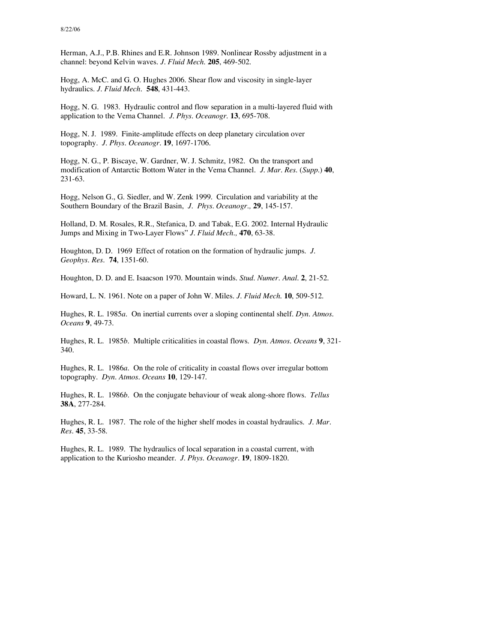Herman, A.J., P.B. Rhines and E.R. Johnson 1989. Nonlinear Rossby adjustment in a channel: beyond Kelvin waves. *J. Fluid Mech.* **205**, 469-502.

Hogg, A. McC. and G. O. Hughes 2006. Shear flow and viscosity in single-layer hydraulics. *J. Fluid Mech.* **548**, 431-443.

Hogg, N. G. 1983. Hydraulic control and flow separation in a multi-layered fluid with application to the Vema Channel. *J. Phys. Oceanogr*. **13**, 695-708.

Hogg, N. J. 1989. Finite-amplitude effects on deep planetary circulation over topography. *J. Phys. Oceanogr*. **19**, 1697-1706.

Hogg, N. G., P. Biscaye, W. Gardner, W. J. Schmitz, 1982. On the transport and modification of Antarctic Bottom Water in the Vema Channel. *J. Mar. Res*. (*Supp.*) **40**, 231-63.

Hogg, Nelson G., G. Siedler, and W. Zenk 1999. Circulation and variability at the Southern Boundary of the Brazil Basin, *J. Phys. Oceanogr.,* **29**, 145-157.

Holland, D. M. Rosales, R.R., Stefanica, D. and Tabak, E.G. 2002. Internal Hydraulic Jumps and Mixing in Two-Layer Flows" *J. Fluid Mech.,* **470**, 63-38.

Houghton, D. D. 1969 Effect of rotation on the formation of hydraulic jumps. *J. Geophys. Res*. **74**, 1351-60.

Houghton, D. D. and E. Isaacson 1970. Mountain winds. *Stud. Numer. Anal.* **2**, 21-52.

Howard, L. N. 1961. Note on a paper of John W. Miles. *J. Fluid Mech.* **10**, 509-512.

Hughes, R. L. 1985*a*. On inertial currents over a sloping continental shelf. *Dyn. Atmos. Oceans* **9**, 49-73.

Hughes, R. L. 1985*b*. Multiple criticalities in coastal flows. *Dyn. Atmos. Oceans* **9**, 321- 340.

Hughes, R. L. 1986*a*. On the role of criticality in coastal flows over irregular bottom topography*. Dyn. Atmos. Oceans* **10**, 129-147.

Hughes, R. L. 1986*b*. On the conjugate behaviour of weak along-shore flows. *Tellus* **38A**, 277-284.

Hughes, R. L. 1987. The role of the higher shelf modes in coastal hydraulics. *J. Mar. Res*. **45**, 33-58.

Hughes, R. L. 1989. The hydraulics of local separation in a coastal current, with application to the Kuriosho meander. *J. Phys. Oceanogr*. **19**, 1809-1820.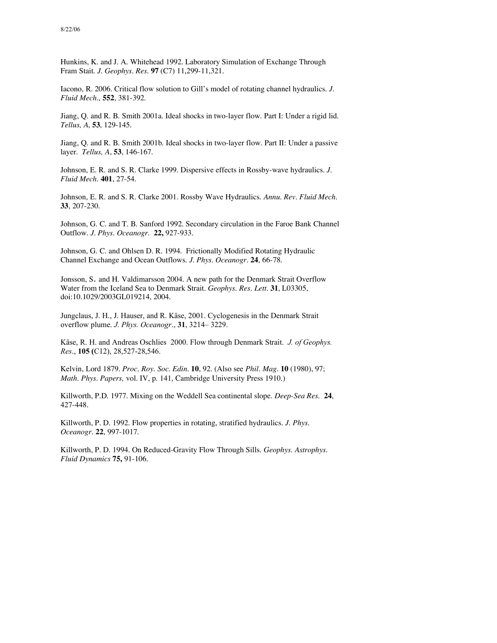Hunkins, K. and J. A. Whitehead 1992. Laboratory Simulation of Exchange Through Fram Stait. *J. Geophys. Res.* **97** (C7) 11,299-11,321.

Iacono, R. 2006. Critical flow solution to Gill's model of rotating channel hydraulics. *J. Fluid Mech.,* **552**, 381-392.

Jiang, Q. and R. B. Smith 2001a. Ideal shocks in two-layer flow. Part I: Under a rigid lid. *Tellus, A*, **53**, 129-145.

Jiang, Q. and R. B. Smith 2001b. Ideal shocks in two-layer flow. Part II: Under a passive layer. *Tellus, A*, **53**, 146-167.

Johnson, E. R. and S. R. Clarke 1999. Dispersive effects in Rossby-wave hydraulics. *J. Fluid Mech.* **401**, 27-54.

Johnson, E. R. and S. R. Clarke 2001. Rossby Wave Hydraulics. *Annu. Rev. Fluid Mech.* **33**, 207-230.

Johnson, G. C. and T. B. Sanford 1992. Secondary circulation in the Faroe Bank Channel Outflow. *J. Phys. Oceanogr.* **22,** 927-933.

Johnson, G. C. and Ohlsen D. R. 1994. Frictionally Modified Rotating Hydraulic Channel Exchange and Ocean Outflows. *J. Phys. Oceanogr.* **24**, 66-78.

Jonsson, S. and H. Valdimarsson 2004. A new path for the Denmark Strait Overflow Water from the Iceland Sea to Denmark Strait. *Geophys. Res. Lett.* **31**, L03305, doi:10.1029/2003GL019214, 2004.

Jungclaus, J. H., J. Hauser, and R. Käse, 2001. Cyclogenesis in the Denmark Strait overflow plume. *J. Phys. Oceanogr*., **31**, 3214– 3229.

Käse, R. H. and Andreas Oschlies 2000. Flow through Denmark Strait. *J. of Geophys. Res*., **105 (**C12), 28,527-28,546.

Kelvin, Lord 1879. *Proc. Roy. Soc. Edin.* **10**, 92. (Also see *Phil. Mag.* **10** (1980), 97; *Math. Phys. Papers,* vol. IV, p. 141, Cambridge University Press 1910.)

Killworth, P.D. 1977. Mixing on the Weddell Sea continental slope. *Deep-Sea Res.* **24**, 427-448.

Killworth, P. D. 1992. Flow properties in rotating, stratified hydraulics. *J. Phys. Oceanogr.* **22**, 997-1017.

Killworth, P. D. 1994. On Reduced-Gravity Flow Through Sills. *Geophys. Astrophys*. *Fluid Dynamics* **75,** 91-106.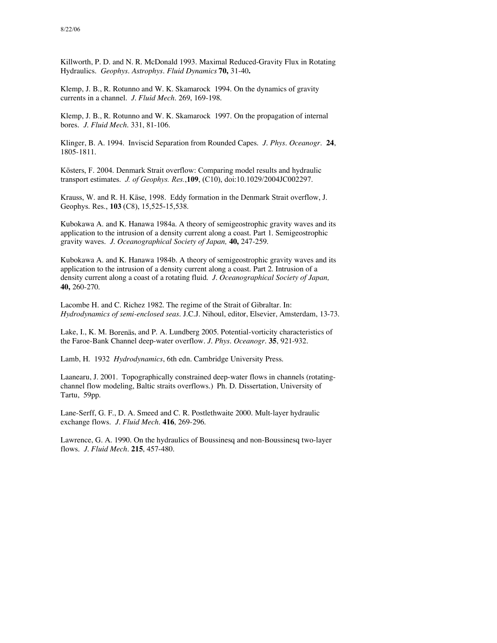Killworth, P. D. and N. R. McDonald 1993. Maximal Reduced-Gravity Flux in Rotating Hydraulics. *Geophys. Astrophys*. *Fluid Dynamics* **70,** 31-40**.**

Klemp, J. B., R. Rotunno and W. K. Skamarock 1994. On the dynamics of gravity currents in a channel. *J. Fluid Mech.* 269, 169-198.

Klemp, J. B., R. Rotunno and W. K. Skamarock 1997. On the propagation of internal bores. *J. Fluid Mech.* 331, 81-106.

Klinger, B. A. 1994. Inviscid Separation from Rounded Capes. *J. Phys. Oceanogr.* **24**, 1805-1811.

Kösters, F. 2004. Denmark Strait overflow: Comparing model results and hydraulic transport estimates. *J. of Geophys. Res.*,**109**, (C10), doi:10.1029/2004JC002297.

Krauss, W. and R. H. Käse, 1998. Eddy formation in the Denmark Strait overflow, J. Geophys. Res., **103** (C8), 15,525-15,538.

Kubokawa A. and K. Hanawa 1984a. A theory of semigeostrophic gravity waves and its application to the intrusion of a density current along a coast. Part 1. Semigeostrophic gravity waves. *J. Oceanographical Society of Japan,* **40,** 247-259.

Kubokawa A. and K. Hanawa 1984b. A theory of semigeostrophic gravity waves and its application to the intrusion of a density current along a coast. Part 2. Intrusion of a density current along a coast of a rotating fluid. *J. Oceanographical Society of Japan,* **40,** 260-270.

Lacombe H. and C. Richez 1982. The regime of the Strait of Gibraltar. In: *Hydrodynamics of semi-enclosed seas.* J.C.J. Nihoul, editor, Elsevier, Amsterdam, 13-73.

Lake, I., K. M. Borenäs, and P. A. Lundberg 2005. Potential-vorticity characteristics of the Faroe-Bank Channel deep-water overflow. *J. Phys. Oceanogr.* **35**, 921-932.

Lamb, H. 1932 *Hydrodynamics*, 6th edn. Cambridge University Press.

Laanearu, J. 2001. Topographically constrained deep-water flows in channels (rotatingchannel flow modeling, Baltic straits overflows.) Ph. D. Dissertation, University of Tartu, 59pp.

Lane-Serff, G. F., D. A. Smeed and C. R. Postlethwaite 2000. Mult-layer hydraulic exchange flows. *J. Fluid Mech.* **416**, 269-296.

Lawrence, G. A. 1990. On the hydraulics of Boussinesq and non-Boussinesq two-layer flows. *J. Fluid Mech.* **215**, 457-480.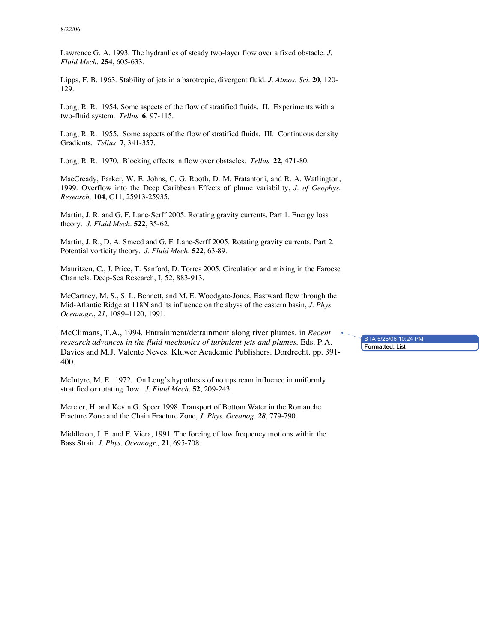Lawrence G. A. 1993. The hydraulics of steady two-layer flow over a fixed obstacle. *J. Fluid Mech.* **254**, 605-633.

Lipps, F. B. 1963. Stability of jets in a barotropic, divergent fluid. *J. Atmos. Sci.* **20**, 120- 129.

Long, R. R. 1954. Some aspects of the flow of stratified fluids. II. Experiments with a two-fluid system. *Tellus* **6**, 97-115.

Long, R. R. 1955. Some aspects of the flow of stratified fluids. III. Continuous density Gradients. *Tellus* **7**, 341-357.

Long, R. R. 1970. Blocking effects in flow over obstacles. *Tellus* **22**, 471-80.

MacCready, Parker, W. E. Johns, C. G. Rooth, D. M. Fratantoni, and R. A. Watlington, 1999. Overflow into the Deep Caribbean Effects of plume variability, *J. of Geophys. Research,* **104**, C11, 25913-25935.

Martin, J. R. and G. F. Lane-Serff 2005. Rotating gravity currents. Part 1. Energy loss theory. *J. Fluid Mech.* **522**, 35-62.

Martin, J. R., D. A. Smeed and G. F. Lane-Serff 2005. Rotating gravity currents. Part 2. Potential vorticity theory. *J. Fluid Mech.* **522**, 63-89.

Mauritzen, C., J. Price, T. Sanford, D. Torres 2005. Circulation and mixing in the Faroese Channels. Deep-Sea Research, I, 52, 883-913.

McCartney, M. S., S. L. Bennett, and M. E. Woodgate-Jones, Eastward flow through the Mid-Atlantic Ridge at 118N and its influence on the abyss of the eastern basin, *J. Phys. Oceanogr*., *21*, 1089–1120, 1991.

McClimans, T.A., 1994. Entrainment/detrainment along river plumes. in *Recent research advances in the fluid mechanics of turbulent jets and plumes*. Eds. P.A. Davies and M.J. Valente Neves. Kluwer Academic Publishers. Dordrecht. pp. 391- 400.

McIntyre, M. E. 1972. On Long's hypothesis of no upstream influence in uniformly stratified or rotating flow. *J. Fluid Mech*. **52**, 209-243.

Mercier, H. and Kevin G. Speer 1998. Transport of Bottom Water in the Romanche Fracture Zone and the Chain Fracture Zone, *J. Phys. Oceanog. 28*, 779-790.

Middleton, J. F. and F. Viera, 1991. The forcing of low frequency motions within the Bass Strait. *J. Phys. Oceanogr.,* **21**, 695-708*.*

**Formatted:** List BTA 5/25/06 10:24 PM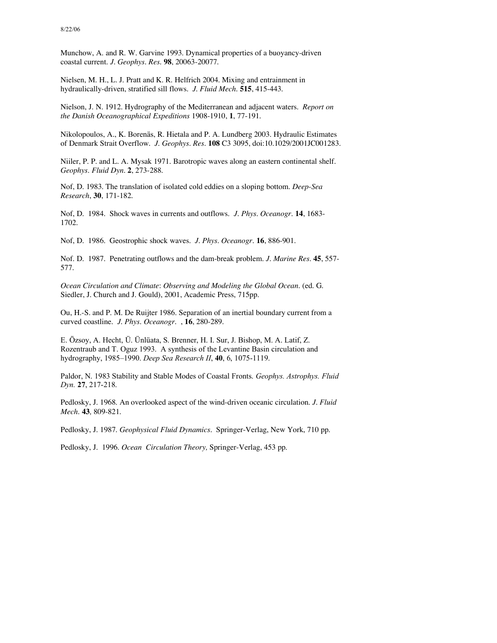Munchow, A. and R. W. Garvine 1993. Dynamical properties of a buoyancy-driven coastal current. *J. Geophys. Res.* **98**, 20063-20077.

Nielsen, M. H., L. J. Pratt and K. R. Helfrich 2004. Mixing and entrainment in hydraulically-driven, stratified sill flows. *J. Fluid Mech.* **515**, 415-443.

Nielson, J. N. 1912. Hydrography of the Mediterranean and adjacent waters. *Report on the Danish Oceanographical Expeditions* 1908-1910, **1**, 77-191.

Nikolopoulos, A., K. Borenäs, R. Hietala and P. A. Lundberg 2003. Hydraulic Estimates of Denmark Strait Overflow. *J. Geophys. Res.* **108** C3 3095, doi:10.1029/2001JC001283.

Niiler, P. P. and L. A. Mysak 1971. Barotropic waves along an eastern continental shelf. *Geophys. Fluid Dyn.* **2**, 273-288.

Nof, D. 1983. The translation of isolated cold eddies on a sloping bottom. *Deep*-*Sea Research*, **30**, 171-182.

Nof, D. 1984. Shock waves in currents and outflows. *J. Phys. Oceanogr.* **14**, 1683- 1702.

Nof, D. 1986. Geostrophic shock waves. *J. Phys. Oceanogr*. **16**, 886-901.

Nof. D. 1987. Penetrating outflows and the dam-break problem. *J. Marine Res.* **45**, 557- 577.

*Ocean Circulation and Climate*: *Observing and Modeling the Global Ocean.* (ed. G. Siedler, J. Church and J. Gould), 2001, Academic Press, 715pp.

Ou, H.-S. and P. M. De Ruijter 1986. Separation of an inertial boundary current from a curved coastline. *J. Phys. Oceanogr.* , **16**, 280-289.

E. Özsoy, A. Hecht, Ü. Ünlüata, S. Brenner, H. I. Sur, J. Bishop, M. A. Latif, Z. Rozentraub and T. Oguz 1993. A synthesis of the Levantine Basin circulation and hydrography, 1985–1990. *Deep Sea Research II*, **40**, 6, 1075-1119.

Paldor, N. 1983 Stability and Stable Modes of Coastal Fronts. *Geophys. Astrophys. Fluid Dyn.* **27**, 217-218.

Pedlosky, J. 1968. An overlooked aspect of the wind-driven oceanic circulation. *J. Fluid Mech.* **43***,* 809-821*.*

Pedlosky, J. 1987. *Geophysical Fluid Dynamics*. Springer-Verlag, New York, 710 pp.

Pedlosky, J. 1996. *Ocean Circulation Theory,* Springer-Verlag, 453 pp.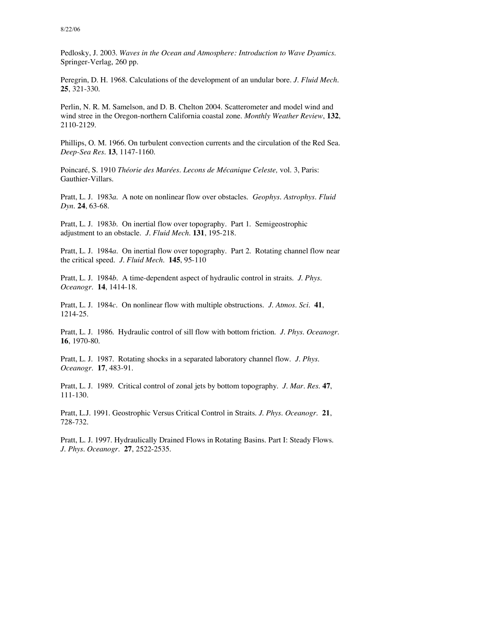Pedlosky, J. 2003. *Waves in the Ocean and Atmosphere: Introduction to Wave Dyamics.* Springer-Verlag, 260 pp.

Peregrin, D. H. 1968. Calculations of the development of an undular bore. *J. Fluid Mech.* **25**, 321-330.

Perlin, N. R. M. Samelson, and D. B. Chelton 2004. Scatterometer and model wind and wind stree in the Oregon-northern California coastal zone. *Monthly Weather Review*, **132**, 2110-2129.

Phillips, O. M. 1966. On turbulent convection currents and the circulation of the Red Sea. *Deep-Sea Res.* **13**, 1147-1160.

Poincaré, S. 1910 *Théorie des Marées. Lecons de Mécanique Celeste,* vol. 3, Paris: Gauthier-Villars.

Pratt, L. J. 1983*a.* A note on nonlinear flow over obstacles. *Geophys. Astrophys. Fluid Dyn*. **24**, 63-68.

Pratt, L. J. 1983*b.* On inertial flow over topography. Part 1. Semigeostrophic adjustment to an obstacle. *J. Fluid Mech*. **131**, 195-218.

Pratt, L. J. 1984*a*. On inertial flow over topography. Part 2. Rotating channel flow near the critical speed. *J. Fluid Mech*. **145**, 95-110

Pratt, L. J. 1984*b*. A time-dependent aspect of hydraulic control in straits. *J. Phys. Oceanogr*. **14**, 1414-18.

Pratt, L. J. 1984*c*. On nonlinear flow with multiple obstructions. *J. Atmos. Sci*. **41**, 1214-25.

Pratt, L. J. 1986. Hydraulic control of sill flow with bottom friction. *J. Phys. Oceanogr*. **16**, 1970-80.

Pratt, L. J. 1987. Rotating shocks in a separated laboratory channel flow. *J. Phys. Oceanogr*. **17**, 483-91.

Pratt, L. J. 1989. Critical control of zonal jets by bottom topography. *J. Mar. Res*. **47**, 111-130.

Pratt, L.J. 1991. Geostrophic Versus Critical Control in Straits. *J. Phys. Oceanogr.* **21**, 728-732.

Pratt, L. J. 1997. Hydraulically Drained Flows in Rotating Basins. Part I: Steady Flows. *J. Phys. Oceanogr.* **27**, 2522-2535.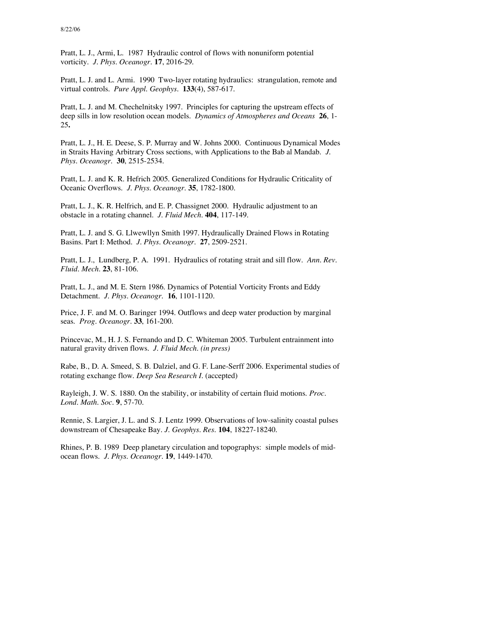Pratt, L. J., Armi, L. 1987 Hydraulic control of flows with nonuniform potential vorticity*. J. Phys. Oceanogr*. **17**, 2016-29.

Pratt, L. J. and L. Armi. 1990 Two-layer rotating hydraulics: strangulation, remote and virtual controls. *Pure Appl. Geophys.* **133**(4), 587-617.

Pratt, L. J. and M. Chechelnitsky 1997. Principles for capturing the upstream effects of deep sills in low resolution ocean models. *Dynamics of Atmospheres and Oceans* **26**, 1- 25**.**

Pratt, L. J., H. E. Deese, S. P. Murray and W. Johns 2000. Continuous Dynamical Modes in Straits Having Arbitrary Cross sections, with Applications to the Bab al Mandab. *J. Phys. Oceanogr.* **30**, 2515-2534.

Pratt, L. J. and K. R. Hefrich 2005. Generalized Conditions for Hydraulic Criticality of Oceanic Overflows. *J. Phys. Oceanogr.* **35**, 1782-1800.

Pratt, L. J., K. R. Helfrich, and E. P. Chassignet 2000. Hydraulic adjustment to an obstacle in a rotating channel. *J. Fluid Mech.* **404**, 117-149.

Pratt, L. J. and S. G. Llwewllyn Smith 1997. Hydraulically Drained Flows in Rotating Basins. Part I: Method. *J. Phys. Oceanogr.* **27**, 2509-2521.

Pratt, L. J., Lundberg, P. A. 1991. Hydraulics of rotating strait and sill flow. *Ann. Rev. Fluid. Mech.* **23**, 81-106.

Pratt, L. J., and M. E. Stern 1986. Dynamics of Potential Vorticity Fronts and Eddy Detachment. *J. Phys. Oceanogr.* **16**, 1101-1120.

Price, J. F. and M. O. Baringer 1994. Outflows and deep water production by marginal seas. *Prog. Oceanogr.* **33**, 161-200.

Princevac, M., H. J. S. Fernando and D. C. Whiteman 2005. Turbulent entrainment into natural gravity driven flows. *J. Fluid Mech. (in press)*

Rabe, B., D. A. Smeed, S. B. Dalziel, and G. F. Lane-Serff 2006. Experimental studies of rotating exchange flow. *Deep Sea Research I*. (accepted)

Rayleigh, J. W. S. 1880. On the stability, or instability of certain fluid motions. *Proc. Lond. Math. Soc.* **9**, 57-70.

Rennie, S. Largier, J. L. and S. J. Lentz 1999. Observations of low-salinity coastal pulses downstream of Chesapeake Bay. *J. Geophys. Res.* **104**, 18227-18240.

Rhines, P. B. 1989 Deep planetary circulation and topographys: simple models of midocean flows. *J. Phys. Oceanogr*. **19**, 1449-1470.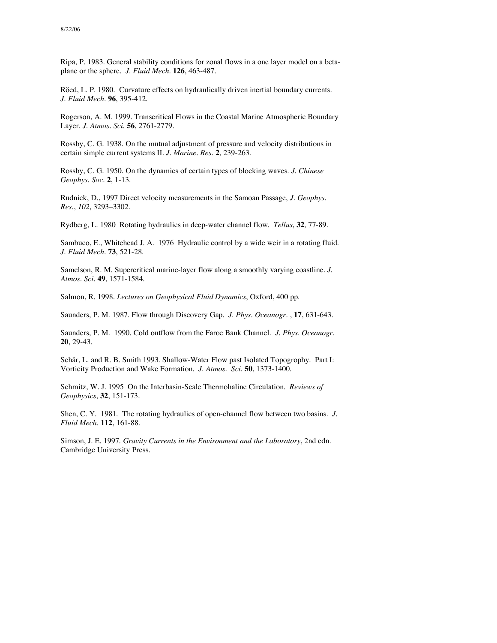Ripa, P. 1983. General stability conditions for zonal flows in a one layer model on a betaplane or the sphere. *J. Fluid Mech.* **126**, 463-487.

Röed, L. P. 1980. Curvature effects on hydraulically driven inertial boundary currents. *J. Fluid Mech*. **96**, 395-412.

Rogerson, A. M. 1999. Transcritical Flows in the Coastal Marine Atmospheric Boundary Layer. *J. Atmos. Sci.* **56**, 2761-2779.

Rossby, C. G. 1938. On the mutual adjustment of pressure and velocity distributions in certain simple current systems II. *J. Marine. Res.* **2**, 239-263.

Rossby, C. G. 1950. On the dynamics of certain types of blocking waves. *J. Chinese Geophys. Soc.* **2**, 1-13.

Rudnick, D., 1997 Direct velocity measurements in the Samoan Passage, *J. Geophys. Res*., *102*, 3293–3302.

Rydberg, L. 1980 Rotating hydraulics in deep-water channel flow. *Tellus*, **32**, 77-89.

Sambuco, E., Whitehead J. A. 1976 Hydraulic control by a wide weir in a rotating fluid. *J. Fluid Mech*. **73**, 521-28.

Samelson, R. M. Supercritical marine-layer flow along a smoothly varying coastline. *J. Atmos. Sci.* **49**, 1571-1584.

Salmon, R. 1998. *Lectures on Geophysical Fluid Dynamics*, Oxford, 400 pp.

Saunders, P. M. 1987. Flow through Discovery Gap. *J. Phys. Oceanogr*. , **17**, 631-643.

Saunders, P. M. 1990. Cold outflow from the Faroe Bank Channel. *J. Phys. Oceanogr*. **20**, 29-43.

Schär, L. and R. B. Smith 1993. Shallow-Water Flow past Isolated Topogrophy. Part I: Vorticity Production and Wake Formation. *J. Atmos. Sci.* **50**, 1373-1400.

Schmitz, W. J. 1995 On the Interbasin-Scale Thermohaline Circulation. *Reviews of Geophysics*, **32**, 151-173.

Shen, C. Y. 1981. The rotating hydraulics of open-channel flow between two basins. *J. Fluid Mech*. **112**, 161-88.

Simson, J. E. 1997. *Gravity Currents in the Environment and the Laboratory*, 2nd edn. Cambridge University Press.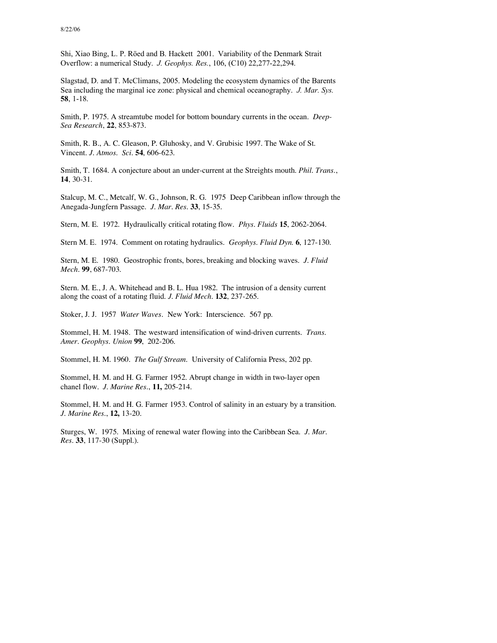Shi, Xiao Bing, L. P. Röed and B. Hackett 2001. Variability of the Denmark Strait Overflow: a numerical Study. *J. Geophys. Res.*, 106, (C10) 22,277-22,294.

Slagstad, D. and T. McClimans, 2005. Modeling the ecosystem dynamics of the Barents Sea including the marginal ice zone: physical and chemical oceanography. *J. Mar. Sys.* **58**, 1-18.

Smith, P. 1975. A streamtube model for bottom boundary currents in the ocean. *Deep-Sea Research*, **22**, 853-873.

Smith, R. B., A. C. Gleason, P. Gluhosky, and V. Grubisic 1997. The Wake of St. Vincent. *J. Atmos. Sci.* **54**, 606-623.

Smith, T. 1684. A conjecture about an under-current at the Streights mouth. *Phil. Trans.*, **14**, 30-31.

Stalcup, M. C., Metcalf, W. G., Johnson, R. G. 1975 Deep Caribbean inflow through the Anegada-Jungfern Passage*. J. Mar. Res*. **33**, 15-35.

Stern, M. E. 1972. Hydraulically critical rotating flow*. Phys. Fluids* **15**, 2062-2064.

Stern M. E. 1974. Comment on rotating hydraulics*. Geophys. Fluid Dyn*. **6**, 127-130.

Stern, M. E. 1980. Geostrophic fronts, bores, breaking and blocking waves. *J. Fluid Mech*. **99**, 687-703.

Stern. M. E., J. A. Whitehead and B. L. Hua 1982. The intrusion of a density current along the coast of a rotating fluid. *J. Fluid Mech.* **132**, 237-265.

Stoker, J. J. 1957 *Water Waves*. New York: Interscience. 567 pp.

Stommel, H. M. 1948. The westward intensification of wind-driven currents. *Trans. Amer. Geophys. Union* **99**, 202-206.

Stommel, H. M. 1960. *The Gulf Stream*. University of California Press, 202 pp.

Stommel, H. M. and H. G. Farmer 1952. Abrupt change in width in two-layer open chanel flow. *J. Marine Res.*, **11,** 205-214.

Stommel, H. M. and H. G. Farmer 1953. Control of salinity in an estuary by a transition. *J. Marine Res.*, **12,** 13-20.

Sturges, W. 1975. Mixing of renewal water flowing into the Caribbean Sea. *J. Mar. Res*. **33**, 117-30 (Suppl.).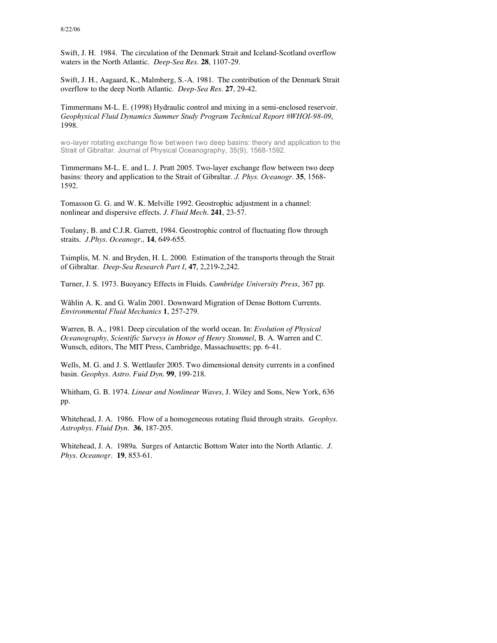Swift, J. H. 1984. The circulation of the Denmark Strait and Iceland-Scotland overflow waters in the North Atlantic. *Deep-Sea Res*. **28**, 1107-29.

Swift, J. H., Aagaard, K., Malmberg, S.-A. 1981. The contribution of the Denmark Strait overflow to the deep North Atlantic. *Deep-Sea Res*. **27**, 29-42.

Timmermans M-L. E. (1998) Hydraulic control and mixing in a semi-enclosed reservoir. *Geophysical Fluid Dynamics Summer Study Program Technical Report #WHOI-98-09*, 1998.

wo-layer rotating exchange flow between two deep basins: theory and application to the Strait of Gibraltar. Journal of Physical Oceanography, 35(9), 1568-1592.

Timmermans M-L. E. and L. J. Pratt 2005. Two-layer exchange flow between two deep basins: theory and application to the Strait of Gibraltar. *J. Phys. Oceanogr.* **35**, 1568- 1592.

Tomasson G. G. and W. K. Melville 1992. Geostrophic adjustment in a channel: nonlinear and dispersive effects. *J. Fluid Mech.* **241**, 23-57.

Toulany, B. and C.J.R. Garrett, 1984. Geostrophic control of fluctuating flow through straits. *J.Phys. Oceanogr.,* **14**, 649-655.

Tsimplis, M. N. and Bryden, H. L. 2000. Estimation of the transports through the Strait of Gibraltar. *Deep-Sea Research Part I*, **47**, 2,219-2,242.

Turner, J. S. 1973. Buoyancy Effects in Fluids. *Cambridge University Press*, 367 pp.

Wåhlin A. K. and G. Walin 2001. Downward Migration of Dense Bottom Currents. *Environmental Fluid Mechanics* **1**, 257-279.

Warren, B. A., 1981. Deep circulation of the world ocean. In: *Evolution of Physical Oceanography, Scientific Surveys in Honor of Henry Stommel*, B. A. Warren and C. Wunsch, editors, The MIT Press, Cambridge, Massachusetts; pp. 6-41.

Wells, M. G. and J. S. Wettlaufer 2005. Two dimensional density currents in a confined basin. *Geophys. Astro. Fuid Dyn.* **99**, 199-218.

Whitham, G. B. 1974. *Linear and Nonlinear Waves*, J. Wiley and Sons, New York, 636 pp.

Whitehead, J. A. 1986. Flow of a homogeneous rotating fluid through straits. *Geophys. Astrophys. Fluid Dyn*. **36**, 187-205.

Whitehead, J. A. 1989a. Surges of Antarctic Bottom Water into the North Atlantic. *J. Phys. Oceanogr*. **19**, 853-61.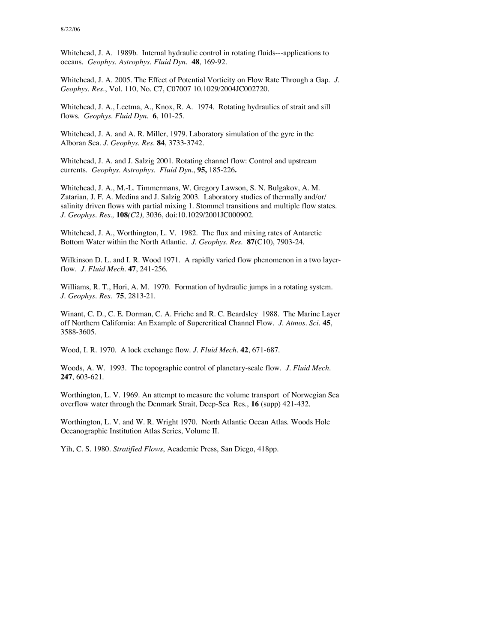Whitehead, J. A. 1989b. Internal hydraulic control in rotating fluids---applications to oceans. *Geophys. Astrophys. Fluid Dyn*. **48**, 169-92.

Whitehead, J. A. 2005. The Effect of Potential Vorticity on Flow Rate Through a Gap. *J. Geophys. Res*., Vol. 110, No. C7, C07007 10.1029/2004JC002720.

Whitehead, J. A., Leetma, A., Knox, R. A. 1974. Rotating hydraulics of strait and sill flows. *Geophys. Fluid Dyn*. **6**, 101-25.

Whitehead, J. A. and A. R. Miller, 1979. Laboratory simulation of the gyre in the Alboran Sea. *J. Geophys. Res.* **84**, 3733-3742.

Whitehead, J. A. and J. Salzig 2001. Rotating channel flow: Control and upstream currents. *Geophys. Astrophys. Fluid Dyn.*, **95,** 185-226**.**

Whitehead, J. A., M.-L. Timmermans, W. Gregory Lawson, S. N. Bulgakov, A. M. Zatarian, J. F. A. Medina and J. Salzig 2003. Laboratory studies of thermally and/or/ salinity driven flows with partial mixing 1. Stommel transitions and multiple flow states. *J. Geophys. Res.,* **108***(C2),* 3036, doi:10.1029/2001JC000902.

Whitehead, J. A., Worthington, L. V. 1982. The flux and mixing rates of Antarctic Bottom Water within the North Atlantic*. J. Geophys. Res*. **87**(C10), 7903-24.

Wilkinson D. L. and I. R. Wood 1971. A rapidly varied flow phenomenon in a two layerflow. *J. Fluid Mech.* **47**, 241-256.

Williams, R. T., Hori, A. M. 1970. Formation of hydraulic jumps in a rotating system. *J. Geophys. Res*. **75**, 2813-21.

Winant, C. D., C. E. Dorman, C. A. Friehe and R. C. Beardsley 1988. The Marine Layer off Northern California: An Example of Supercritical Channel Flow. *J. Atmos. Sci.* **45**, 3588-3605.

Wood, I. R. 1970. A lock exchange flow. *J. Fluid Mech.* **42**, 671-687.

Woods, A. W. 1993. The topographic control of planetary-scale flow. *J. Fluid Mech*. **247**, 603-621.

Worthington, L. V. 1969. An attempt to measure the volume transport of Norwegian Sea overflow water through the Denmark Strait, Deep-Sea Res., **16** (supp) 421-432.

Worthington, L. V. and W. R. Wright 1970. North Atlantic Ocean Atlas. Woods Hole Oceanographic Institution Atlas Series, Volume II.

Yih, C. S. 1980. *Stratified Flows*, Academic Press, San Diego, 418pp.